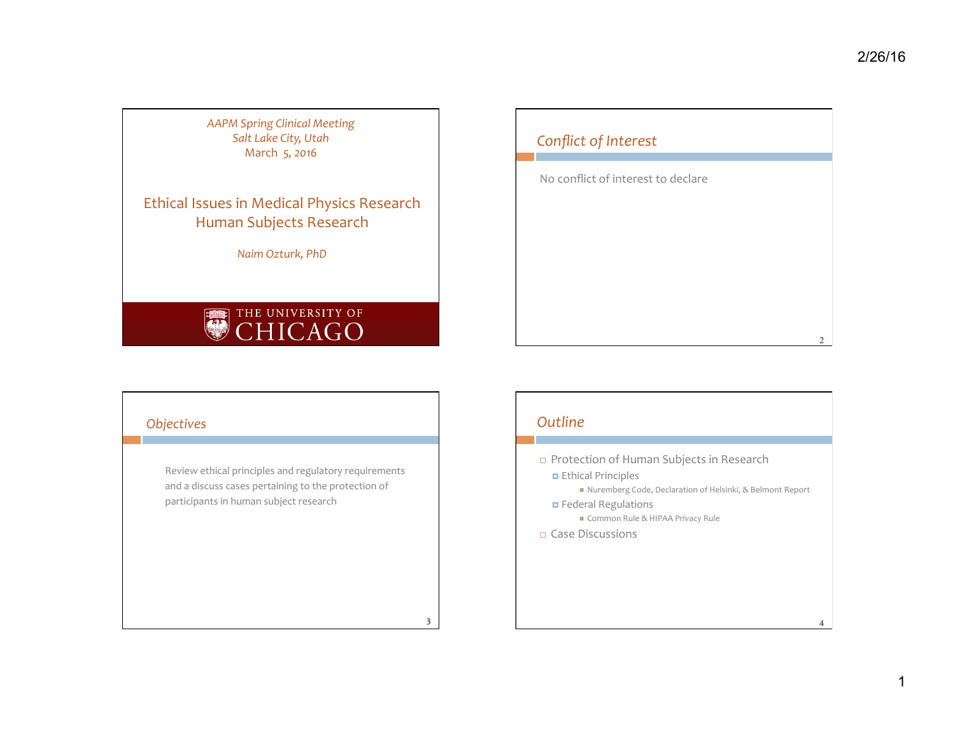*AAPM Spring Clinical Meeting*  Salt Lake City, Utah March 5, 2016

Ethical Issues in Medical Physics Research Human Subjects Research

*Naim Ozturk, PhD* 

# THE UNIVERSITY OF



## *Objectives*

Review ethical principles and regulatory requirements and a discuss cases pertaining to the protection of participants in human subject research

## *Outline*

3 

□ Protection of Human Subjects in Research ¤ Ethical Principles ■ Nuremberg Code, Declaration of Helsinki, & Belmont Report ¤ Federal Regulations ■ Common Rule & HIPAA Privacy Rule □ Case Discussions

 $\Delta$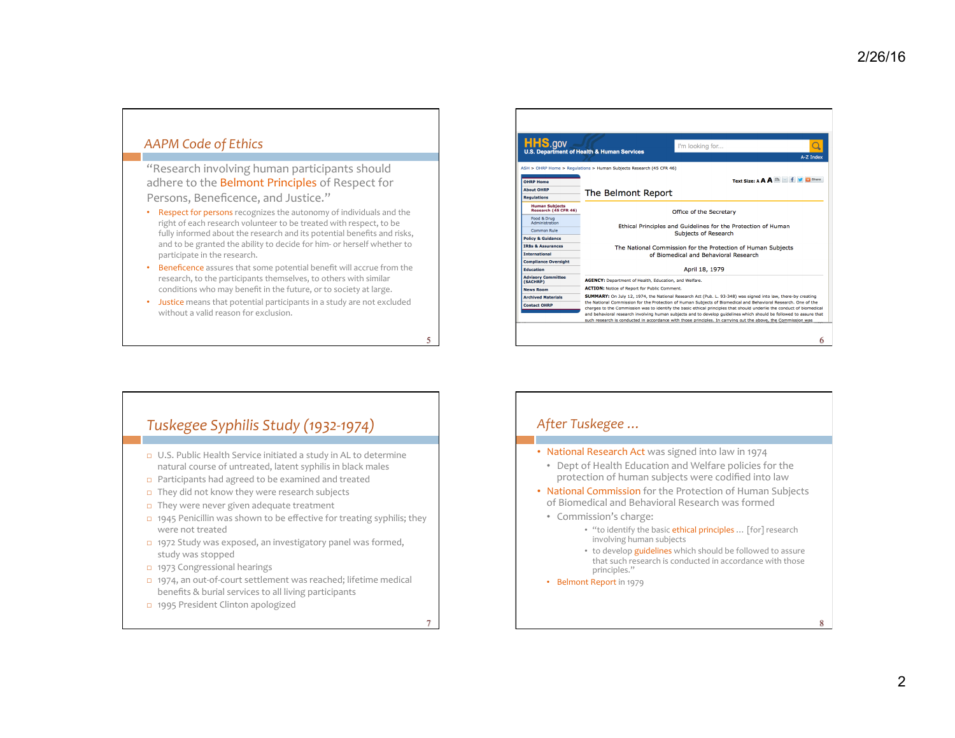#### *AAPM Code of Ethics*

"Research involving human participants should adhere to the Belmont Principles of Respect for Persons, Beneficence, and Justice."

- Respect for persons recognizes the autonomy of individuals and the right of each research volunteer to be treated with respect, to be fully informed about the research and its potential benefits and risks, and to be granted the ability to decide for him- or herself whether to participate in the research.
- Beneficence assures that some potential benefit will accrue from the research, to the participants themselves, to others with similar conditions who may benefit in the future, or to society at large.
- Justice means that potential participants in a study are not excluded without a valid reason for exclusion.

5

7

| <b>HHS.gov</b>                                | I'm looking for<br><b>U.S. Department of Health &amp; Human Services</b>                                                                                                                                                                                                                                                                                                                                                                                                       |  |
|-----------------------------------------------|--------------------------------------------------------------------------------------------------------------------------------------------------------------------------------------------------------------------------------------------------------------------------------------------------------------------------------------------------------------------------------------------------------------------------------------------------------------------------------|--|
|                                               | A-Z Index<br>ASH > OHRP Home > Regulations > Human Subjects Research (45 CFR 46)                                                                                                                                                                                                                                                                                                                                                                                               |  |
| <b>OHRP Home</b><br><b>About OHRP</b>         | Text Size: A A A E F J C Share<br>The Belmont Report                                                                                                                                                                                                                                                                                                                                                                                                                           |  |
| <b>Requlations</b>                            |                                                                                                                                                                                                                                                                                                                                                                                                                                                                                |  |
| <b>Human Subjects</b><br>Research (45 CFR 46) | Office of the Secretary                                                                                                                                                                                                                                                                                                                                                                                                                                                        |  |
| Food & Drug<br>Administration                 | Ethical Principles and Guidelines for the Protection of Human                                                                                                                                                                                                                                                                                                                                                                                                                  |  |
| Common Rule                                   | <b>Subjects of Research</b>                                                                                                                                                                                                                                                                                                                                                                                                                                                    |  |
| <b>Policy &amp; Guidance</b>                  |                                                                                                                                                                                                                                                                                                                                                                                                                                                                                |  |
| <b>IRBs &amp; Assurances</b>                  | The National Commission for the Protection of Human Subjects                                                                                                                                                                                                                                                                                                                                                                                                                   |  |
| <b>International</b>                          | of Biomedical and Behavioral Research                                                                                                                                                                                                                                                                                                                                                                                                                                          |  |
| <b>Compliance Oversight</b>                   |                                                                                                                                                                                                                                                                                                                                                                                                                                                                                |  |
| <b>Education</b>                              | April 18, 1979                                                                                                                                                                                                                                                                                                                                                                                                                                                                 |  |
| <b>Advisory Committee</b><br>(SACHRP)         | AGENCY: Department of Health, Education, and Welfare.                                                                                                                                                                                                                                                                                                                                                                                                                          |  |
| <b>News Room</b>                              | <b>ACTION:</b> Notice of Report for Public Comment.                                                                                                                                                                                                                                                                                                                                                                                                                            |  |
| <b>Archived Materials</b>                     | SUMMARY: On July 12, 1974, the National Research Act (Pub. L. 93-348) was signed into law, there-by creating                                                                                                                                                                                                                                                                                                                                                                   |  |
| <b>Contact OHRP</b>                           | the National Commission for the Protection of Human Subjects of Biomedical and Behavioral Research. One of the<br>charges to the Commission was to identify the basic ethical principles that should underlie the conduct of biomedical<br>and behavioral research involving human subjects and to develop guidelines which should be followed to assure that<br>such research is conducted in accordance with those principles. In carrying out the above, the Commission was |  |
|                                               | h                                                                                                                                                                                                                                                                                                                                                                                                                                                                              |  |

## Tuskegee Syphilis Study (1932-1974)

- $\Box$  U.S. Public Health Service initiated a study in AL to determine natural course of untreated, latent syphilis in black males
- $\Box$  Participants had agreed to be examined and treated
- $\Box$  They did not know they were research subjects
- $\Box$  They were never given adequate treatment
- $\Box$  1945 Penicillin was shown to be effective for treating syphilis; they were not treated
- $\Box$  1972 Study was exposed, an investigatory panel was formed, study was stopped
- □ 1973 Congressional hearings
- □ 1974, an out-of-court settlement was reached; lifetime medical benefits & burial services to all living participants
- □ 1995 President Clinton apologized

After Tuskegee ...

- National Research Act was signed into law in 1974
	- Dept of Health Education and Welfare policies for the protection of human subjects were codified into law
- National Commission for the Protection of Human Subjects of Biomedical and Behavioral Research was formed
- Commission's charge:
	- "to identify the basic ethical principles ... [for] research involving human subjects
	- to develop guidelines which should be followed to assure that such research is conducted in accordance with those principles."
- Belmont Report in 1979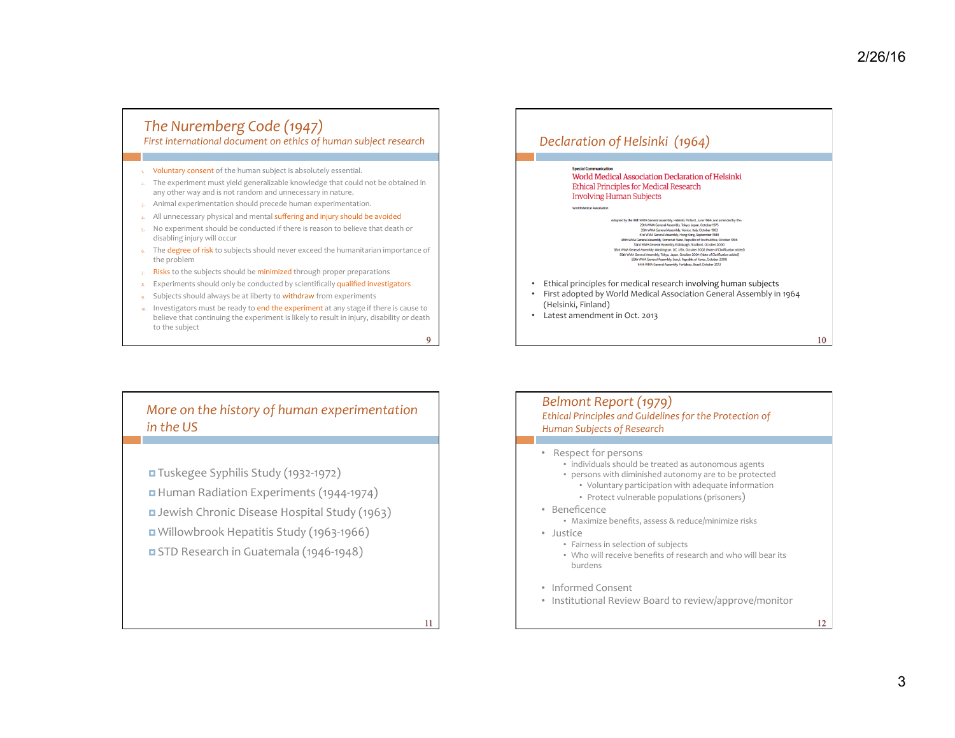12

## The Nuremberg Code (1947)

#### First international document on ethics of human subject research

- Voluntary consent of the human subject is absolutely essential.
- 2. The experiment must yield generalizable knowledge that could not be obtained in any other way and is not random and unnecessary in nature.
- 3. Animal experimentation should precede human experimentation.
- 4. All unnecessary physical and mental suffering and injury should be avoided
- 5. No experiment should be conducted if there is reason to believe that death or disabling injury will occur
- 6. The degree of risk to subjects should never exceed the humanitarian importance of the problem
- 7. Risks to the subjects should be minimized through proper preparations
- 8. Experiments should only be conducted by scientifically qualified investigators
- 9. Subjects should always be at liberty to **withdraw** from experiments
- 10. Investigators must be ready to end the experiment at any stage if there is cause to believe that continuing the experiment is likely to result in injury, disability or death to the subject

9

11

## Declaration of Helsinki (1964) **Special Comp** World Medical Association Declaration of Helsinki

**Ethical Principles for Medical Research Involving Human Subjects** 

- Adopted by the 18th WMA General Assembly, Helsinki, Finland, June 1964, and amended by the:<br>29th WMA General Assembly, Tokyo, Japan, October 1975 35th WMA General Assembly, Venice, Italy, October 1983<br>41st WMA General Assembly, Hong Kong, September 1989 48th WIMA Greenal Massenby, Somewaye May Frouty on Substitute Tosty (48th WIMA Greenal Assembly, Somewark Ween, Republic of South Africa, October 1996<br>Somewaye May Frank Greenal Assembly, Somewaye May Frank Contact Africa,
- Ethical principles for medical research involving human subjects
- First adopted by World Medical Association General Assembly in 1964 (Helsinki, Finland)
- Latest amendment in Oct. 2013

## *More on the history of human experimentation in the US*

■ Tuskegee Syphilis Study (1932-1972) ¤ Human Radiation Experiments (1944-1974) **¤** Jewish Chronic Disease Hospital Study (1963) ■ Willowbrook Hepatitis Study (1963-1966) **E** STD Research in Guatemala (1946-1948)

#### Belmont Report (1979) *Ethical Principles and Guidelines for the Protection of Human Subjects of Research*

- Respect for persons
	- individuals should be treated as autonomous agents
	- persons with diminished autonomy are to be protected
		- Voluntary participation with adequate information
		- Protect vulnerable populations (prisoners)
- Beneficence
	- Maximize benefits, assess & reduce/minimize risks
- Justice
	- Fairness in selection of subjects
	- Who will receive benefits of research and who will bear its burdens
- Informed Consent
- Institutional Review Board to review/approve/monitor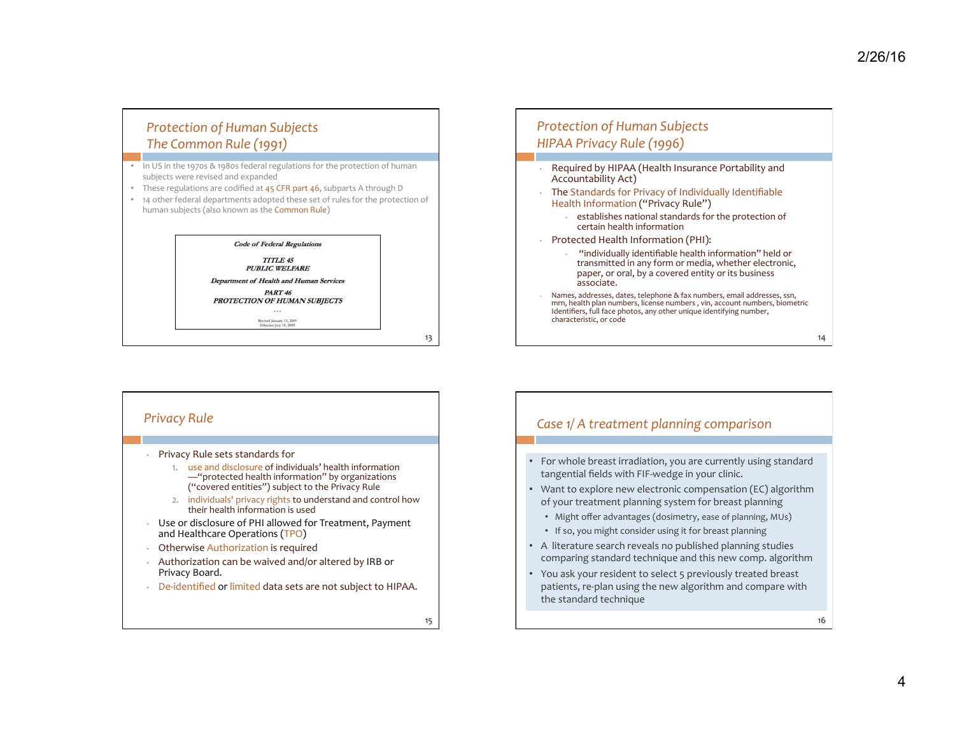## *Protection of Human Subjects The Common Rule (1991)*

- In US in the 1970s & 1980s federal regulations for the protection of human subjects were revised and expanded
- These regulations are codified at 45 CFR part 46, subparts A through D
- 14 other federal departments adopted these set of rules for the protection of human subjects (also known as the **Common Rule**)

#### **Code of Federal Regulations TITLE 45 PUBLIC WELFARE** Department of Health and Human Services **PART 46** PROTECTION OF HUMAN SUBJECTS  $...$

Revised January 15, 2009<br>Effective July 14, 2009

13 



#### 14 *Protection of Human Subjects HIPAA Privacy Rule (1996)*  Required by HIPAA (Health Insurance Portability and Accountability Act) • The Standards for Privacy of Individually Identifiable Health Information ("Privacy Rule") establishes national standards for the protection of certain health information • Protected Health Information (PHI): "individually identifiable health information" held or transmitted in any form or media, whether electronic, paper, or oral, by a covered entity or its business associate. Names, addresses, dates, telephone & fax numbers, email addresses, ssn, mrn, health plan numbers, license numbers, vin, account numbers, biometric Identifiers, full face photos, any other unique identifying number, characteristic, or code

## 16 *Case 1/ A treatment planning comparison* For whole breast irradiation, you are currently using standard tangential fields with FIF-wedge in your clinic. Want to explore new electronic compensation (EC) algorithm of your treatment planning system for breast planning • Might offer advantages (dosimetry, ease of planning, MUs) • If so, you might consider using it for breast planning A literature search reveals no published planning studies comparing standard technique and this new comp. algorithm You ask your resident to select 5 previously treated breast patients, re-plan using the new algorithm and compare with the standard technique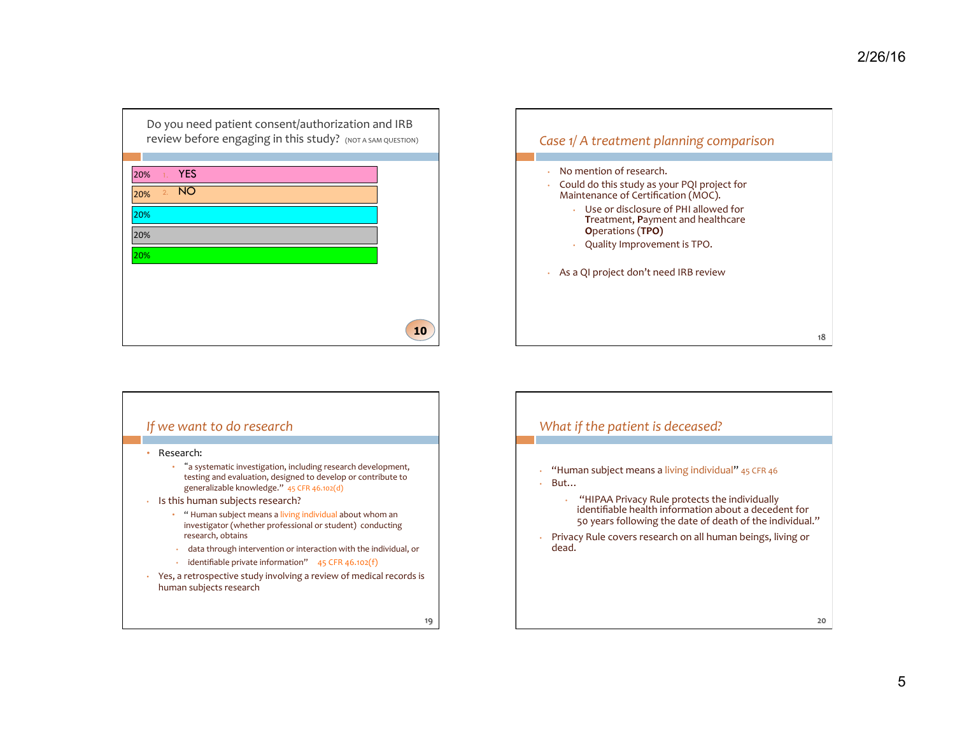| Do you need patient consent/authorization and IRB<br>review before engaging in this study? (NOT A SAM QUESTION) |    |
|-----------------------------------------------------------------------------------------------------------------|----|
| <b>YES</b><br>20%<br>1.1                                                                                        |    |
| <b>NO</b><br>2.<br>20%                                                                                          |    |
| 20%                                                                                                             |    |
|                                                                                                                 |    |
| 20%                                                                                                             |    |
| 20%                                                                                                             |    |
|                                                                                                                 |    |
|                                                                                                                 |    |
|                                                                                                                 | 10 |



## 19 *If* we want to do research • Research: • "a systematic investigation, including research development, testing and evaluation, designed to develop or contribute to generalizable knowledge." 45 CFR 46.102(d)  $\cdot$  Is this human subjects research? • " Human subject means a living individual about whom an investigator (whether professional or student) conducting research, obtains • data through intervention or interaction with the individual, or  $\cdot$  identifiable private information" 45 CFR 46.102(f) • Yes, a retrospective study involving a review of medical records is human subjects research

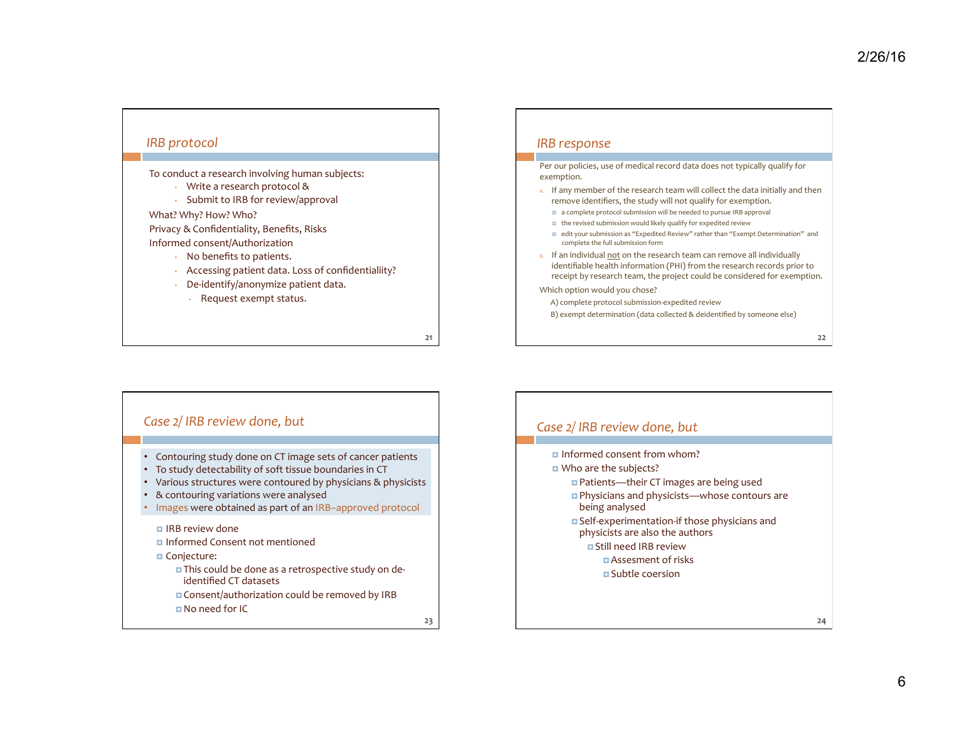24 

#### *IRB protocol*

To conduct a research involving human subjects:

- Write a research protocol &
- Submit to IRB for review/approval

What? Why? How? Who?

Privacy & Confidentiality, Benefits, Risks Informed consent/Authorization 

- No benefits to patients.
- Accessing patient data. Loss of confidentialiity?
- De-identify/anonymize patient data.
	- Request exempt status.

21 

#### *IRB response*

Per our policies, use of medical record data does not typically qualify for exemption. 

- A. If any member of the research team will collect the data initially and then remove identifiers, the study will not qualify for exemption.
	- a complete protocol submission will be needed to pursue IRB approval
	- $\blacksquare$  the revised submission would likely qualify for expedited review
	- □ edit your submission as "Expedited Review" rather than "Exempt Determination" and complete the full submission form
- B. If an individual not on the research team can remove all individually identifiable health information (PHI) from the research records prior to receipt by research team, the project could be considered for exemption.

Which option would you chose?

- A) complete protocol submission-expedited review
- B) exempt determination (data collected & deidentified by someone else)

23 **□ IRB** review done **¤** Informed Consent not mentioned ¤ Conjecture: **¤** This could be done as a retrospective study on deidentified CT datasets **□** Consent/authorization could be removed by IRB ¤ No need for IC • Contouring study done on CT image sets of cancer patients • To study detectability of soft tissue boundaries in CT • Various structures were contoured by physicians & physicists • & contouring variations were analysed • Images were obtained as part of an IRB-approved protocol Case  $2/$  IRB review done, but

## $\Box$  Informed consent from whom? ■ Who are the subjects? **□** Patients—their CT images are being used ■ Physicians and physicists—whose contours are Case  $2/$  IRB review done, but

- being analysed
- **¤** Self-experimentation-if those physicians and physicists are also the authors
	- **¤ Still need IRB review** 
		- ¤ Assesment of risks
		- **¤** Subtle coersion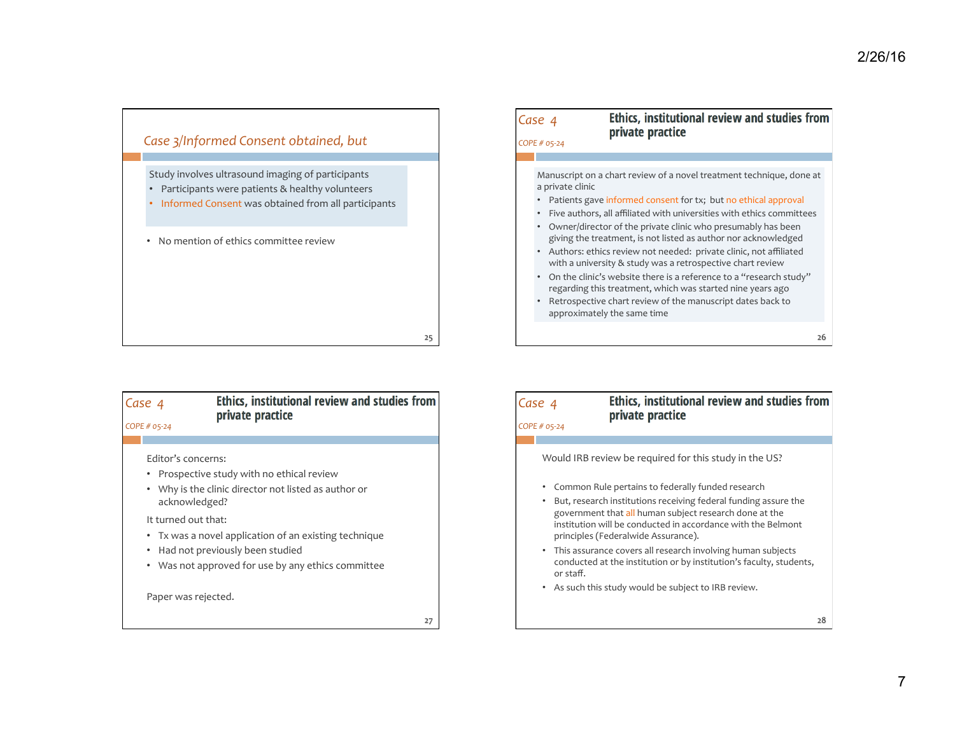

| COPE # 05-24 | Ethics, institutional review and studies from<br>private practice                                                                                                                                                                                                                                                                                                                                                                                                                                                                                                                                                                                                                                                                         |    |
|--------------|-------------------------------------------------------------------------------------------------------------------------------------------------------------------------------------------------------------------------------------------------------------------------------------------------------------------------------------------------------------------------------------------------------------------------------------------------------------------------------------------------------------------------------------------------------------------------------------------------------------------------------------------------------------------------------------------------------------------------------------------|----|
|              |                                                                                                                                                                                                                                                                                                                                                                                                                                                                                                                                                                                                                                                                                                                                           |    |
| $\bullet$    | Manuscript on a chart review of a novel treatment technique, done at<br>a private clinic<br>Patients gave informed consent for tx; but no ethical approval<br>Five authors, all affiliated with universities with ethics committees<br>Owner/director of the private clinic who presumably has been<br>giving the treatment, is not listed as author nor acknowledged<br>Authors: ethics review not needed: private clinic, not affiliated<br>with a university & study was a retrospective chart review<br>On the clinic's website there is a reference to a "research study"<br>regarding this treatment, which was started nine years ago<br>Retrospective chart review of the manuscript dates back to<br>approximately the same time |    |
|              |                                                                                                                                                                                                                                                                                                                                                                                                                                                                                                                                                                                                                                                                                                                                           | 26 |

| Case 4                              | <b>Ethics, institutional review and studies from</b><br>private practice                                                                       |
|-------------------------------------|------------------------------------------------------------------------------------------------------------------------------------------------|
| COPE # 05-24                        |                                                                                                                                                |
| Editor's concerns:<br>acknowledged? | Prospective study with no ethical review<br>• Why is the clinic director not listed as author or                                               |
| It turned out that:                 | • Tx was a novel application of an existing technique<br>Had not previously been studied<br>• Was not approved for use by any ethics committee |
| Paper was rejected.                 |                                                                                                                                                |

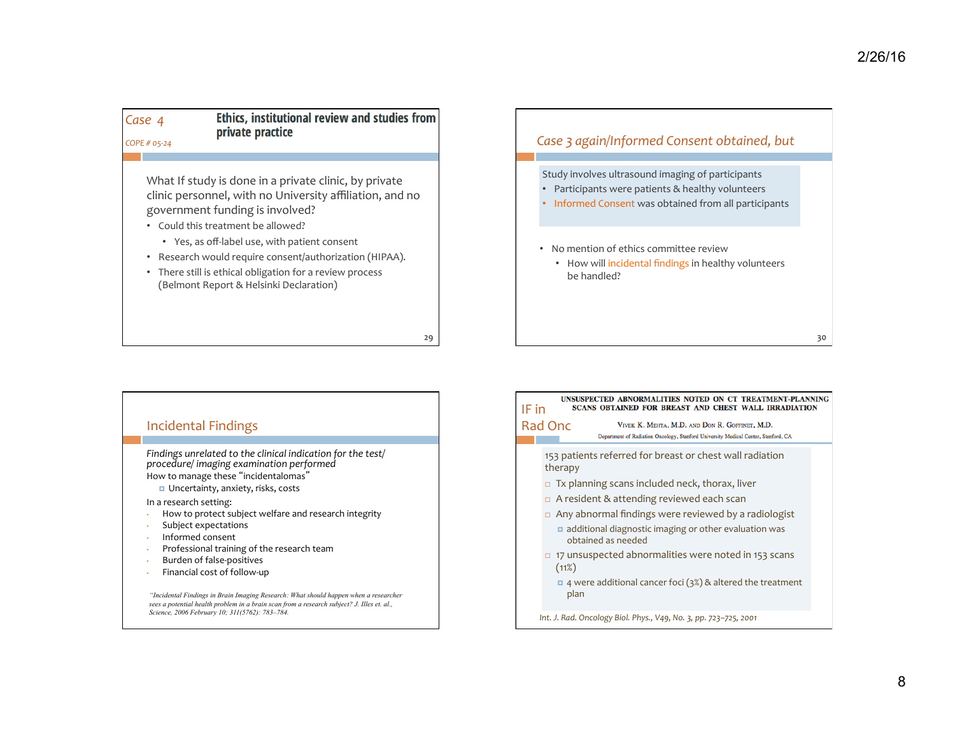*Case 4* 

Ethics, institutional review and studies from private practice

29 

*COPE # 05-24* 

What If study is done in a private clinic, by private clinic personnel, with no University affiliation, and no government funding is involved?

- Could this treatment be allowed?
	- Yes, as off-label use, with patient consent
- Research would require consent/authorization (HIPAA).
- There still is ethical obligation for a review process (Belmont Report & Helsinki Declaration)



#### Incidental Findings

Findings unrelated to the clinical indication for the test/ *procedure/ imaging examination performed* How to manage these "incidentalomas"

■ Uncertainty, anxiety, risks, costs

In a research setting:

- How to protect subject welfare and research integrity
- Subject expectations
- Informed consent
- Professional training of the research team
- Burden of false-positives
- Financial cost of follow-up

*"Incidental Findings in Brain Imaging Research: What should happen when a researcher sees a potential health problem in a brain scan from a research subject? J. Illes et. al., Science, 2006 February 10; 311(5762): 783–784.* 

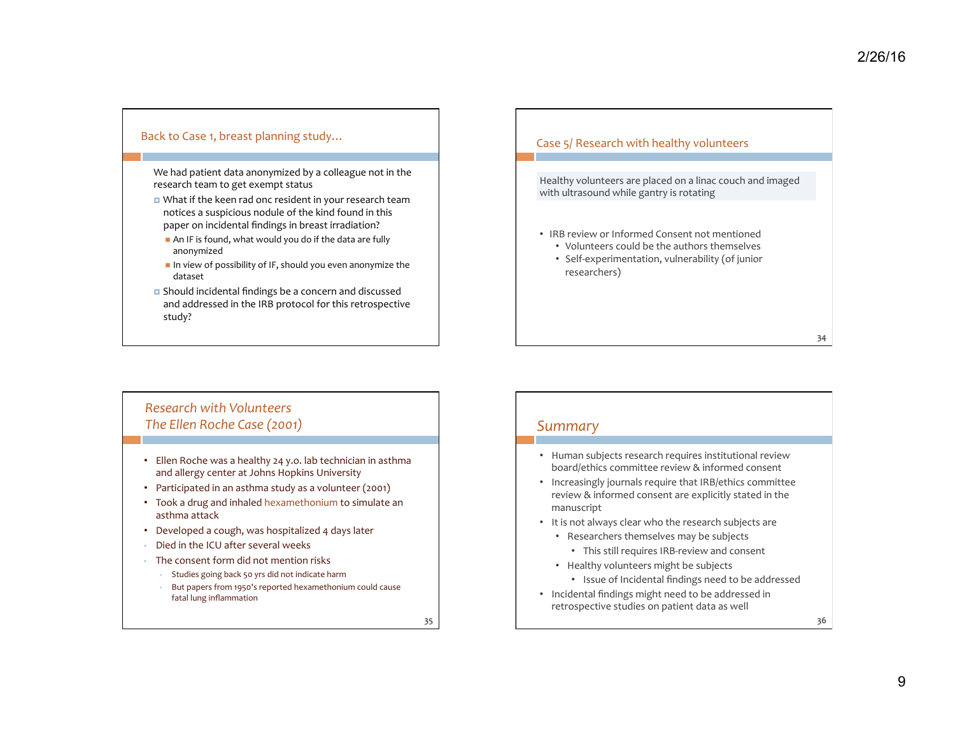#### Back to Case 1, breast planning study...

We had patient data anonymized by a colleague not in the research team to get exempt status

- What if the keen rad onc resident in your research team notices a suspicious nodule of the kind found in this paper on incidental findings in breast irradiation?
- $\blacksquare$  An IF is found, what would you do if the data are fully anonymized
- $\blacksquare$  In view of possibility of IF, should you even anonymize the dataset
- $\Box$  Should incidental findings be a concern and discussed and addressed in the IRB protocol for this retrospective study?

#### Case 5/ Research with healthy volunteers

Healthy volunteers are placed on a linac couch and imaged with ultrasound while gantry is rotating

- IRB review or Informed Consent not mentioned
	- Volunteers could be the authors themselves
	- Self-experimentation, vulnerability (of junior researchers)

## *Research with Volunteers* The Ellen Roche Case (2001)

- Ellen Roche was a healthy 24 y.o. lab technician in asthma and allergy center at Johns Hopkins University
- Participated in an asthma study as a volunteer (2001)
- Took a drug and inhaled hexamethonium to simulate an asthma attack
- Developed a cough, was hospitalized 4 days later
- Died in the ICU after several weeks
- $\cdot$  The consent form did not mention risks
	- Studies going back 50 yrs did not indicate harm
	- But papers from 1950's reported hexamethonium could cause fatal lung inflammation

35 

### *Summary*

- Human subjects research requires institutional review board/ethics committee review & informed consent
- Increasingly journals require that IRB/ethics committee review & informed consent are explicitly stated in the manuscript
- It is not always clear who the research subjects are
	- Researchers themselves may be subjects
		- This still requires IRB-review and consent
	- Healthy volunteers might be subjects
		- Issue of Incidental findings need to be addressed
- Incidental findings might need to be addressed in retrospective studies on patient data as well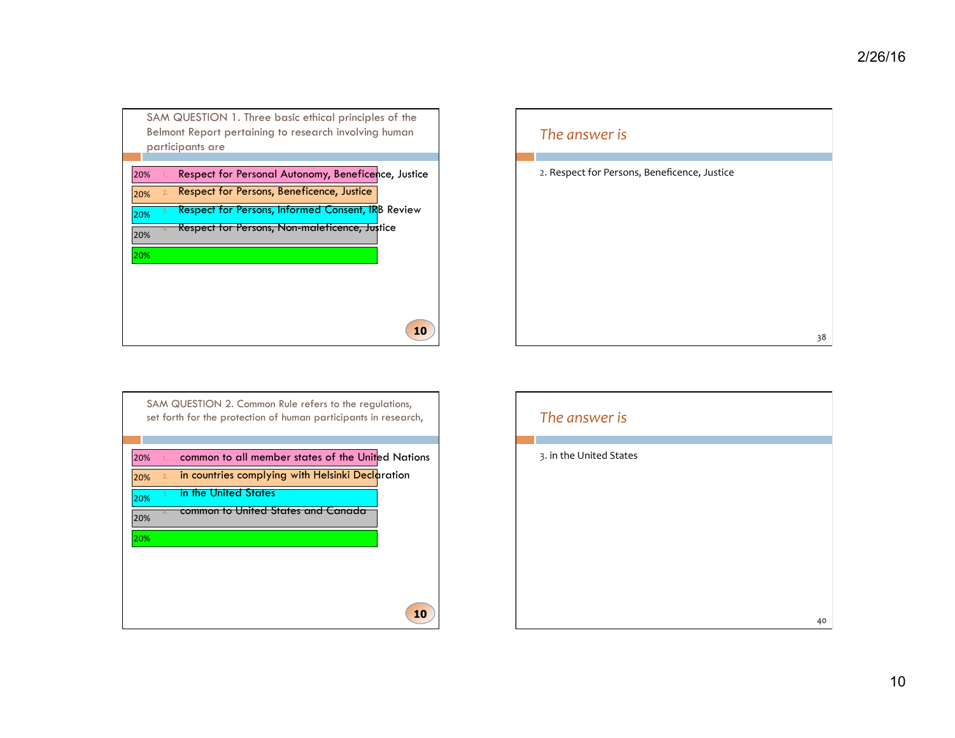|           | SAM QUESTION 1. Three basic ethical principles of the    |
|-----------|----------------------------------------------------------|
|           | Belmont Report pertaining to research involving human    |
|           | participants are                                         |
| 20%<br>1. | Respect for Personal Autonomy, Beneficence, Justice      |
| 2.<br>20% | Respect for Persons, Beneficence, Justice                |
| 3.<br>20% | <b>Respect for Persons, Informed Consent, IRB Review</b> |
| 20%       | Respect for Persons, Non-maleficence, Justice            |
| 20%       |                                                          |
|           |                                                          |
|           |                                                          |
|           | 10                                                       |



| 20% |    | common to all member states of the United Nations |
|-----|----|---------------------------------------------------|
| 20% | 2. | in countries complying with Helsinki Declaration  |
| 20% | 3. | in the United States                              |
| 20% |    | common to United States and Canada                |
| 20% |    |                                                   |
|     |    |                                                   |